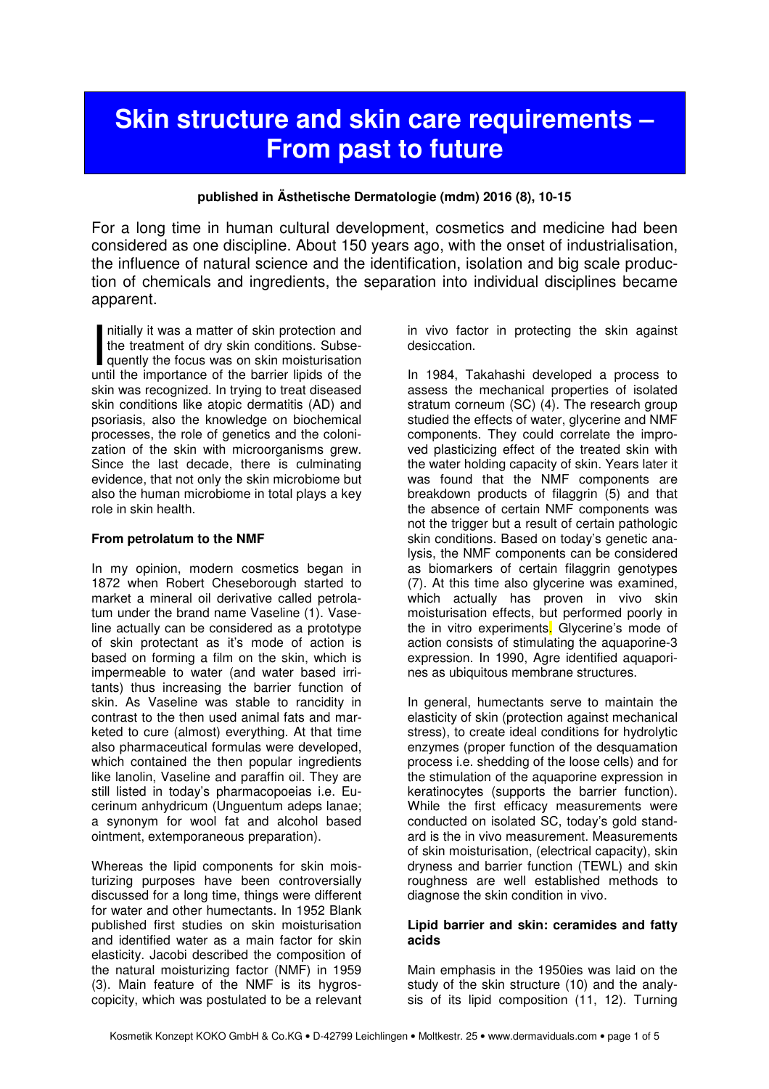# **Skin structure and skin care requirements – From past to future**

# **published in Ästhetische Dermatologie (mdm) 2016 (8), 10-15**

For a long time in human cultural development, cosmetics and medicine had been considered as one discipline. About 150 years ago, with the onset of industrialisation, the influence of natural science and the identification, isolation and big scale production of chemicals and ingredients, the separation into individual disciplines became apparent.

nitially it was a matter of skin protection and the treatment of dry skin conditions. Subsequently the focus was on skin moisturisation nitially it was a matter of skin protection and<br>the treatment of dry skin conditions. Subse-<br>quently the focus was on skin moisturisation<br>until the importance of the barrier lipids of the skin was recognized. In trying to treat diseased skin conditions like atopic dermatitis (AD) and psoriasis, also the knowledge on biochemical processes, the role of genetics and the colonization of the skin with microorganisms grew. Since the last decade, there is culminating evidence, that not only the skin microbiome but also the human microbiome in total plays a key role in skin health.

#### **From petrolatum to the NMF**

In my opinion, modern cosmetics began in 1872 when Robert Cheseborough started to market a mineral oil derivative called petrolatum under the brand name Vaseline (1). Vaseline actually can be considered as a prototype of skin protectant as it's mode of action is based on forming a film on the skin, which is impermeable to water (and water based irritants) thus increasing the barrier function of skin. As Vaseline was stable to rancidity in contrast to the then used animal fats and marketed to cure (almost) everything. At that time also pharmaceutical formulas were developed, which contained the then popular ingredients like lanolin, Vaseline and paraffin oil. They are still listed in today's pharmacopoeias i.e. Eucerinum anhydricum (Unguentum adeps lanae; a synonym for wool fat and alcohol based ointment, extemporaneous preparation).

Whereas the lipid components for skin moisturizing purposes have been controversially discussed for a long time, things were different for water and other humectants. In 1952 Blank published first studies on skin moisturisation and identified water as a main factor for skin elasticity. Jacobi described the composition of the natural moisturizing factor (NMF) in 1959 (3). Main feature of the NMF is its hygroscopicity, which was postulated to be a relevant

in vivo factor in protecting the skin against desiccation.

In 1984, Takahashi developed a process to assess the mechanical properties of isolated stratum corneum (SC) (4). The research group studied the effects of water, glycerine and NMF components. They could correlate the improved plasticizing effect of the treated skin with the water holding capacity of skin. Years later it was found that the NMF components are breakdown products of filaggrin (5) and that the absence of certain NMF components was not the trigger but a result of certain pathologic skin conditions. Based on today's genetic analysis, the NMF components can be considered as biomarkers of certain filaggrin genotypes (7). At this time also glycerine was examined, which actually has proven in vivo skin moisturisation effects, but performed poorly in the in vitro experiments. Glycerine's mode of action consists of stimulating the aquaporine-3 expression. In 1990, Agre identified aquaporines as ubiquitous membrane structures.

In general, humectants serve to maintain the elasticity of skin (protection against mechanical stress), to create ideal conditions for hydrolytic enzymes (proper function of the desquamation process i.e. shedding of the loose cells) and for the stimulation of the aquaporine expression in keratinocytes (supports the barrier function). While the first efficacy measurements were conducted on isolated SC, today's gold standard is the in vivo measurement. Measurements of skin moisturisation, (electrical capacity), skin dryness and barrier function (TEWL) and skin roughness are well established methods to diagnose the skin condition in vivo.

### **Lipid barrier and skin: ceramides and fatty acids**

Main emphasis in the 1950ies was laid on the study of the skin structure (10) and the analysis of its lipid composition (11, 12). Turning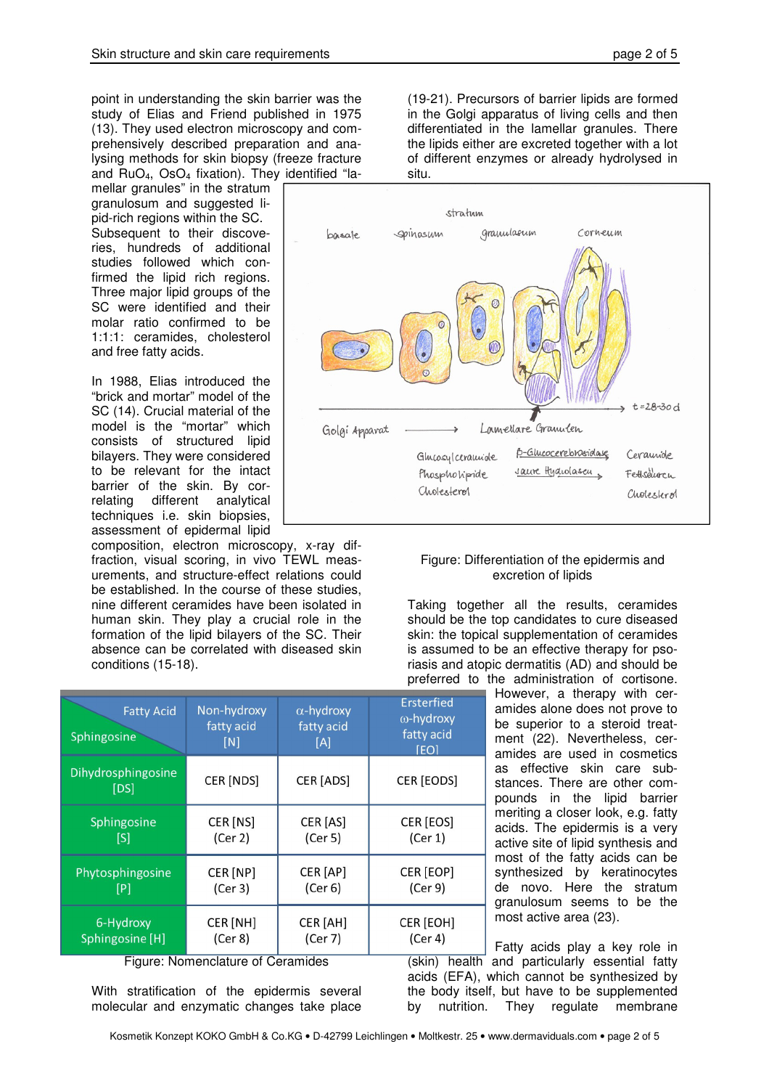point in understanding the skin barrier was the study of Elias and Friend published in 1975 (13). They used electron microscopy and comprehensively described preparation and analysing methods for skin biopsy (freeze fracture and  $RuO<sub>4</sub>$ ,  $OsO<sub>4</sub>$  fixation). They identified "la-

mellar granules" in the stratum granulosum and suggested lipid-rich regions within the SC. Subsequent to their discoveries, hundreds of additional studies followed which confirmed the lipid rich regions. Three major lipid groups of the SC were identified and their molar ratio confirmed to be 1:1:1: ceramides, cholesterol and free fatty acids.

In 1988, Elias introduced the "brick and mortar" model of the SC (14). Crucial material of the model is the "mortar" which consists of structured lipid bilayers. They were considered to be relevant for the intact barrier of the skin. By correlating different analytical techniques i.e. skin biopsies, assessment of epidermal lipid

composition, electron microscopy, x-ray diffraction, visual scoring, in vivo TEWL measurements, and structure-effect relations could be established. In the course of these studies, nine different ceramides have been isolated in human skin. They play a crucial role in the formation of the lipid bilayers of the SC. Their absence can be correlated with diseased skin conditions (15-18).

| <b>Fatty Acid</b><br><b>Sphingosine</b> | Non-hydroxy<br>fatty acid<br>[N] | $\alpha$ -hydroxy<br>fatty acid<br>[A] | Ersterfied<br>ω-hydroxy<br>fatty acid<br><b>[EO]</b> |
|-----------------------------------------|----------------------------------|----------------------------------------|------------------------------------------------------|
| Dihydrosphingosine<br>[DS]              | CER [NDS]                        | CER [ADS]                              | CER [EODS]                                           |
| Sphingosine                             | CER [NS]                         | CER [AS]                               | CER [EOS]                                            |
| [S]                                     | (Cer 2)                          | (Cer 5)                                | (Cer 1)                                              |
| Phytosphingosine                        | CER [NP]                         | CER [AP]                               | CER [EOP]                                            |
| [P]                                     | (Cer 3)                          | (Cer 6)                                | (Cer 9)                                              |
| 6-Hydroxy                               | CER [NH]                         | CER [AH]                               | CER [EOH]                                            |
| Sphingosine [H]                         | (Cer 8)                          | (Cer 7)                                | (Cer 4)                                              |

Figure: Nomenclature of Ceramides

With stratification of the epidermis several molecular and enzymatic changes take place

(19-21). Precursors of barrier lipids are formed in the Golgi apparatus of living cells and then differentiated in the lamellar granules. There the lipids either are excreted together with a lot of different enzymes or already hydrolysed in situ.



### Figure: Differentiation of the epidermis and excretion of lipids

Taking together all the results, ceramides should be the top candidates to cure diseased skin: the topical supplementation of ceramides is assumed to be an effective therapy for psoriasis and atopic dermatitis (AD) and should be preferred to the administration of cortisone.

However, a therapy with ceramides alone does not prove to be superior to a steroid treatment (22). Nevertheless, ceramides are used in cosmetics as effective skin care substances. There are other compounds in the lipid barrier meriting a closer look, e.g. fatty acids. The epidermis is a very active site of lipid synthesis and most of the fatty acids can be synthesized by keratinocytes de novo. Here the stratum granulosum seems to be the most active area (23).

Fatty acids play a key role in (skin) health and particularly essential fatty acids (EFA), which cannot be synthesized by the body itself, but have to be supplemented by nutrition. They regulate membrane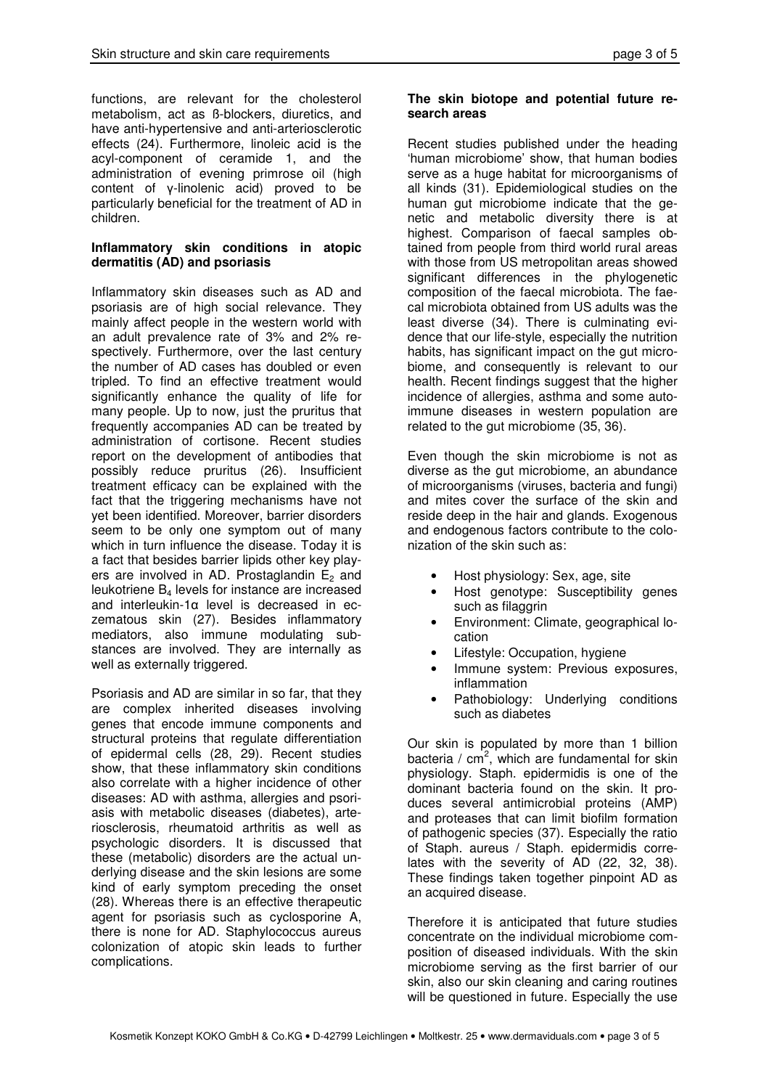functions, are relevant for the cholesterol metabolism, act as ß-blockers, diuretics, and have anti-hypertensive and anti-arteriosclerotic effects (24). Furthermore, linoleic acid is the acyl-component of ceramide 1, and the administration of evening primrose oil (high content of γ-linolenic acid) proved to be particularly beneficial for the treatment of AD in children.

# **Inflammatory skin conditions in atopic dermatitis (AD) and psoriasis**

Inflammatory skin diseases such as AD and psoriasis are of high social relevance. They mainly affect people in the western world with an adult prevalence rate of 3% and 2% respectively. Furthermore, over the last century the number of AD cases has doubled or even tripled. To find an effective treatment would significantly enhance the quality of life for many people. Up to now, just the pruritus that frequently accompanies AD can be treated by administration of cortisone. Recent studies report on the development of antibodies that possibly reduce pruritus (26). Insufficient treatment efficacy can be explained with the fact that the triggering mechanisms have not yet been identified. Moreover, barrier disorders seem to be only one symptom out of many which in turn influence the disease. Today it is a fact that besides barrier lipids other key players are involved in AD. Prostaglandin  $E_2$  and leukotriene  $B_4$  levels for instance are increased and interleukin-1α level is decreased in eczematous skin (27). Besides inflammatory mediators, also immune modulating substances are involved. They are internally as well as externally triggered.

Psoriasis and AD are similar in so far, that they are complex inherited diseases involving genes that encode immune components and structural proteins that regulate differentiation of epidermal cells (28, 29). Recent studies show, that these inflammatory skin conditions also correlate with a higher incidence of other diseases: AD with asthma, allergies and psoriasis with metabolic diseases (diabetes), arteriosclerosis, rheumatoid arthritis as well as psychologic disorders. It is discussed that these (metabolic) disorders are the actual underlying disease and the skin lesions are some kind of early symptom preceding the onset (28). Whereas there is an effective therapeutic agent for psoriasis such as cyclosporine A, there is none for AD. Staphylococcus aureus colonization of atopic skin leads to further complications.

# **The skin biotope and potential future research areas**

Recent studies published under the heading 'human microbiome' show, that human bodies serve as a huge habitat for microorganisms of all kinds (31). Epidemiological studies on the human gut microbiome indicate that the genetic and metabolic diversity there is at highest. Comparison of faecal samples obtained from people from third world rural areas with those from US metropolitan areas showed significant differences in the phylogenetic composition of the faecal microbiota. The faecal microbiota obtained from US adults was the least diverse (34). There is culminating evidence that our life-style, especially the nutrition habits, has significant impact on the gut microbiome, and consequently is relevant to our health. Recent findings suggest that the higher incidence of allergies, asthma and some autoimmune diseases in western population are related to the gut microbiome (35, 36).

Even though the skin microbiome is not as diverse as the gut microbiome, an abundance of microorganisms (viruses, bacteria and fungi) and mites cover the surface of the skin and reside deep in the hair and glands. Exogenous and endogenous factors contribute to the colonization of the skin such as:

- Host physiology: Sex, age, site
- Host genotype: Susceptibility genes such as filaggrin
- Environment: Climate, geographical location
- Lifestyle: Occupation, hygiene
- Immune system: Previous exposures, inflammation
- Pathobiology: Underlying conditions such as diabetes

Our skin is populated by more than 1 billion bacteria /  $cm<sup>2</sup>$ , which are fundamental for skin physiology. Staph. epidermidis is one of the dominant bacteria found on the skin. It produces several antimicrobial proteins (AMP) and proteases that can limit biofilm formation of pathogenic species (37). Especially the ratio of Staph. aureus / Staph. epidermidis correlates with the severity of AD (22, 32, 38). These findings taken together pinpoint AD as an acquired disease.

Therefore it is anticipated that future studies concentrate on the individual microbiome composition of diseased individuals. With the skin microbiome serving as the first barrier of our skin, also our skin cleaning and caring routines will be questioned in future. Especially the use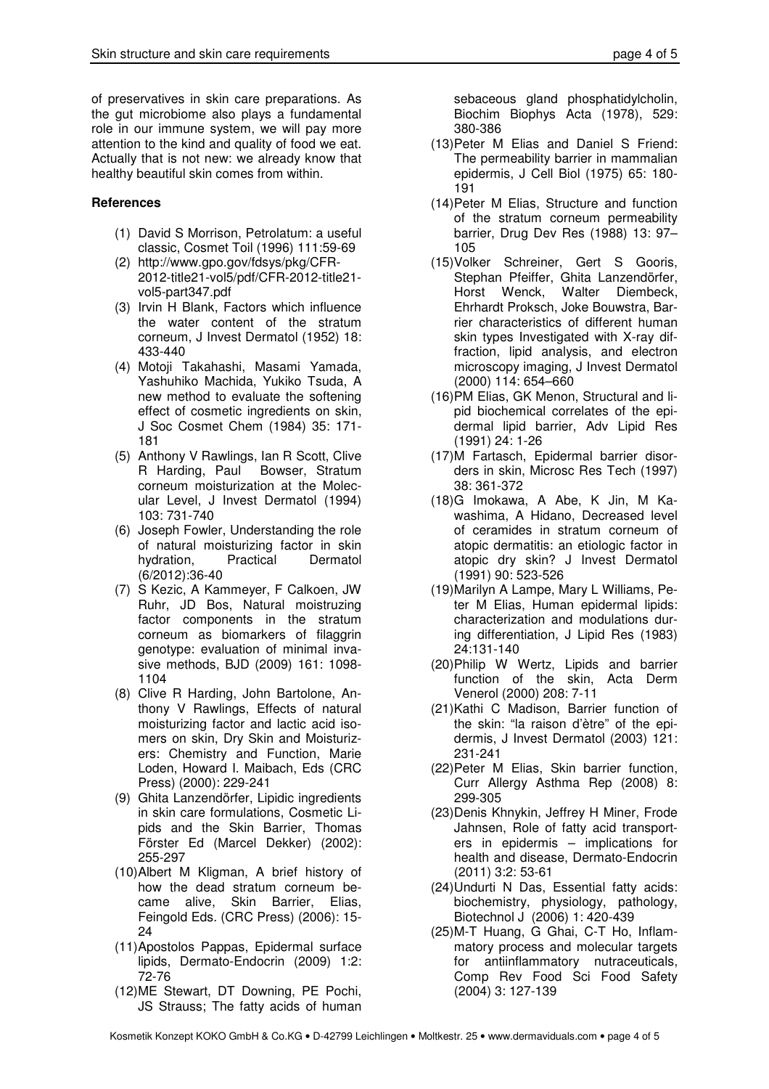of preservatives in skin care preparations. As the gut microbiome also plays a fundamental role in our immune system, we will pay more attention to the kind and quality of food we eat. Actually that is not new: we already know that healthy beautiful skin comes from within.

# **References**

- (1) David S Morrison, Petrolatum: a useful classic, Cosmet Toil (1996) 111:59-69
- (2) http://www.gpo.gov/fdsys/pkg/CFR-2012-title21-vol5/pdf/CFR-2012-title21 vol5-part347.pdf
- (3) Irvin H Blank, Factors which influence the water content of the stratum corneum, J Invest Dermatol (1952) 18: 433-440
- (4) Motoji Takahashi, Masami Yamada, Yashuhiko Machida, Yukiko Tsuda, A new method to evaluate the softening effect of cosmetic ingredients on skin, J Soc Cosmet Chem (1984) 35: 171- 181
- (5) Anthony V Rawlings, Ian R Scott, Clive R Harding, Paul Bowser, Stratum corneum moisturization at the Molecular Level, J Invest Dermatol (1994) 103: 731-740
- (6) Joseph Fowler, Understanding the role of natural moisturizing factor in skin hydration, Practical Dermatol (6/2012):36-40
- (7) S Kezic, A Kammeyer, F Calkoen, JW Ruhr, JD Bos, Natural moistruzing factor components in the stratum corneum as biomarkers of filaggrin genotype: evaluation of minimal invasive methods, BJD (2009) 161: 1098- 1104
- (8) Clive R Harding, John Bartolone, Anthony V Rawlings, Effects of natural moisturizing factor and lactic acid isomers on skin, Dry Skin and Moisturizers: Chemistry and Function, Marie Loden, Howard I. Maibach, Eds (CRC Press) (2000): 229-241
- (9) Ghita Lanzendörfer, Lipidic ingredients in skin care formulations, Cosmetic Lipids and the Skin Barrier, Thomas Förster Ed (Marcel Dekker) (2002): 255-297
- (10) Albert M Kligman, A brief history of how the dead stratum corneum became alive, Skin Barrier, Elias, Feingold Eds. (CRC Press) (2006): 15- 24
- (11) Apostolos Pappas, Epidermal surface lipids, Dermato-Endocrin (2009) 1:2: 72-76
- (12) ME Stewart, DT Downing, PE Pochi, JS Strauss; The fatty acids of human

sebaceous gland phosphatidylcholin, Biochim Biophys Acta (1978), 529: 380-386

- (13) Peter M Elias and Daniel S Friend: The permeability barrier in mammalian epidermis, J Cell Biol (1975) 65: 180- 191
- (14) Peter M Elias, Structure and function of the stratum corneum permeability barrier, Drug Dev Res (1988) 13: 97– 105
- (15) Volker Schreiner, Gert S Gooris, Stephan Pfeiffer, Ghita Lanzendörfer, Horst Wenck, Walter Diembeck, Ehrhardt Proksch, Joke Bouwstra, Barrier characteristics of different human skin types Investigated with X-ray diffraction, lipid analysis, and electron microscopy imaging, J Invest Dermatol (2000) 114: 654–660
- (16) PM Elias, GK Menon, Structural and lipid biochemical correlates of the epidermal lipid barrier, Adv Lipid Res (1991) 24: 1-26
- (17) M Fartasch, Epidermal barrier disorders in skin, Microsc Res Tech (1997) 38: 361-372
- (18) G Imokawa, A Abe, K Jin, M Kawashima, A Hidano, Decreased level of ceramides in stratum corneum of atopic dermatitis: an etiologic factor in atopic dry skin? J Invest Dermatol (1991) 90: 523-526
- (19) Marilyn A Lampe, Mary L Williams, Peter M Elias, Human epidermal lipids: characterization and modulations during differentiation, J Lipid Res (1983) 24:131-140
- (20) Philip W Wertz, Lipids and barrier function of the skin, Acta Derm Venerol (2000) 208: 7-11
- (21) Kathi C Madison, Barrier function of the skin: "la raison d'ètre" of the epidermis, J Invest Dermatol (2003) 121: 231-241
- (22) Peter M Elias, Skin barrier function, Curr Allergy Asthma Rep (2008) 8: 299-305
- (23) Denis Khnykin, Jeffrey H Miner, Frode Jahnsen, Role of fatty acid transporters in epidermis – implications for health and disease, Dermato-Endocrin (2011) 3:2: 53-61
- (24) Undurti N Das, Essential fatty acids: biochemistry, physiology, pathology, Biotechnol J (2006) 1: 420-439
- (25) M-T Huang, G Ghai, C-T Ho, Inflammatory process and molecular targets for antiinflammatory nutraceuticals, Comp Rev Food Sci Food Safety (2004) 3: 127-139